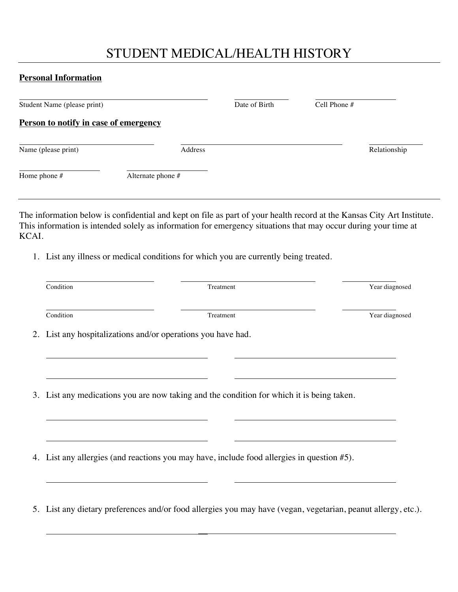## STUDENT MEDICAL/HEALTH HISTORY

#### **Personal Information**

| Student Name (please print)                  |         | Date of Birth | Cell Phone # |              |
|----------------------------------------------|---------|---------------|--------------|--------------|
| <b>Person to notify in case of emergency</b> |         |               |              |              |
| Name (please print)                          | Address |               |              | Relationship |
| Home phone $#$<br>Alternate phone #          |         |               |              |              |

The information below is confidential and kept on file as part of your health record at the Kansas City Art Institute. This information is intended solely as information for emergency situations that may occur during your time at KCAI.

1. List any illness or medical conditions for which you are currently being treated.

| Condition | Treatment | Year diagnosed                                                                                                                                                                                                                                          |
|-----------|-----------|---------------------------------------------------------------------------------------------------------------------------------------------------------------------------------------------------------------------------------------------------------|
|           | Treatment | Year diagnosed                                                                                                                                                                                                                                          |
|           |           |                                                                                                                                                                                                                                                         |
|           |           |                                                                                                                                                                                                                                                         |
|           |           |                                                                                                                                                                                                                                                         |
|           |           |                                                                                                                                                                                                                                                         |
|           |           |                                                                                                                                                                                                                                                         |
|           | Condition | 2. List any hospitalizations and/or operations you have had.<br>3. List any medications you are now taking and the condition for which it is being taken.<br>4. List any allergies (and reactions you may have, include food allergies in question #5). |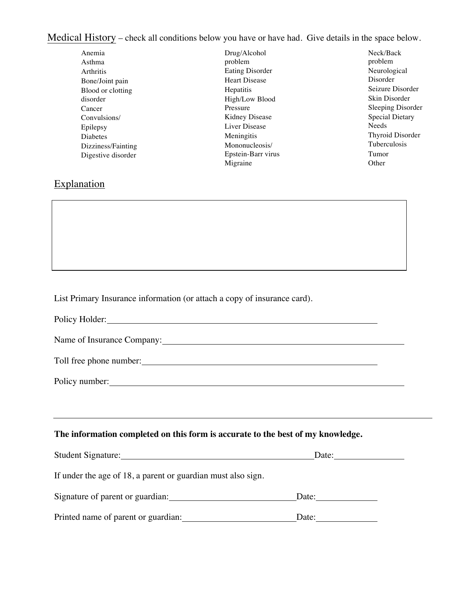Medical History – check all conditions below you have or have had. Give details in the space below.

| Anemia             | Drug/Alcohol         | Neck/Back              |
|--------------------|----------------------|------------------------|
| Asthma             | problem              | problem                |
| Arthritis          | Eating Disorder      | Neurological           |
| Bone/Joint pain    | <b>Heart Disease</b> | Disorder               |
| Blood or clotting  | Hepatitis            | Seizure Disorder       |
| disorder           | High/Low Blood       | Skin Disorder          |
| Cancer             | Pressure             | Sleeping Disorder      |
| Convulsions/       | Kidney Disease       | <b>Special Dietary</b> |
| Epilepsy           | Liver Disease        | Needs                  |
| <b>Diabetes</b>    | Meningitis           | Thyroid Disorder       |
| Dizziness/Fainting | Mononucleosis/       | Tuberculosis           |
| Digestive disorder | Epstein-Barr virus   | Tumor                  |
|                    | Migraine             | Other                  |
|                    |                      |                        |

## **Explanation**

List Primary Insurance information (or attach a copy of insurance card).

Policy Holder:

Name of Insurance Company:

Toll free phone number:

Policy number:

#### **The information completed on this form is accurate to the best of my knowledge.**

| <b>Student Signature:</b>                                    | Date: |
|--------------------------------------------------------------|-------|
| If under the age of 18, a parent or guardian must also sign. |       |
| Signature of parent or guardian:                             | Date: |
| Printed name of parent or guardian:                          | Date: |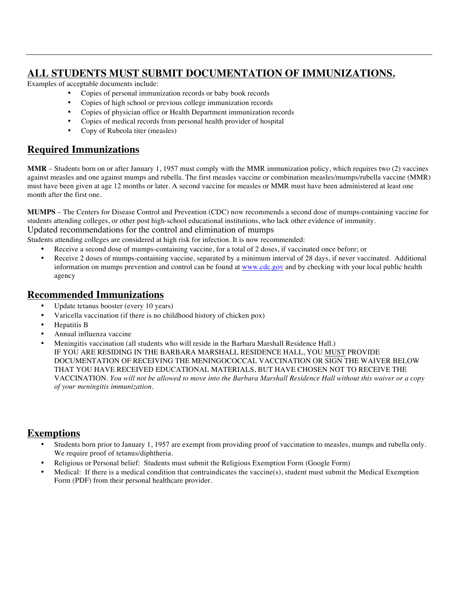## **ALL STUDENTS MUST SUBMIT DOCUMENTATION OF IMMUNIZATIONS.**

Examples of acceptable documents include:

- Copies of personal immunization records or baby book records
- Copies of high school or previous college immunization records
- Copies of physician office or Health Department immunization records
- Copies of medical records from personal health provider of hospital
- Copy of Rubeola titer (measles)

## **Required Immunizations**

**MMR** – Students born on or after January 1, 1957 must comply with the MMR immunization policy, which requires two (2) vaccines against measles and one against mumps and rubella. The first measles vaccine or combination measles/mumps/rubella vaccine (MMR) must have been given at age 12 months or later. A second vaccine for measles or MMR must have been administered at least one month after the first one.

**MUMPS** – The Centers for Disease Control and Prevention (CDC) now recommends a second dose of mumps-containing vaccine for students attending colleges, or other post high-school educational institutions, who lack other evidence of immunity.

Updated recommendations for the control and elimination of mumps

Students attending colleges are considered at high risk for infection. It is now recommended:

- Receive a second dose of mumps-containing vaccine, for a total of 2 doses, if vaccinated once before; or
- Receive 2 doses of mumps-containing vaccine, separated by a minimum interval of 28 days, if never vaccinated. Additional information on mumps prevention and control can be found at www.cdc.gov and by checking with your local public health agency

## **Recommended Immunizations**

- Update tetanus booster (every 10 years)
- Varicella vaccination (if there is no childhood history of chicken pox)
- Hepatitis B
- Annual influenza vaccine
- Meningitis vaccination (all students who will reside in the Barbara Marshall Residence Hall.) IF YOU ARE RESIDING IN THE BARBARA MARSHALL RESIDENCE HALL, YOU MUST PROVIDE DOCUMENTATION OF RECEIVING THE MENINGOCOCCAL VACCINATION OR SIGN THE WAIVER BELOW THAT YOU HAVE RECEIVED EDUCATIONAL MATERIALS, BUT HAVE CHOSEN NOT TO RECEIVE THE VACCINATION. You will not be allowed to move into the Barbara Marshall Residence Hall without this waiver or a copy *of your meningitis immunization.*

## **Exemptions**

- Students born prior to January 1, 1957 are exempt from providing proof of vaccination to measles, mumps and rubella only. We require proof of tetanus/diphtheria.
- Religious or Personal belief: Students must submit the Religious Exemption Form (Google Form)
- Medical: If there is a medical condition that contraindicates the vaccine $(s)$ , student must submit the Medical Exemption Form (PDF) from their personal healthcare provider.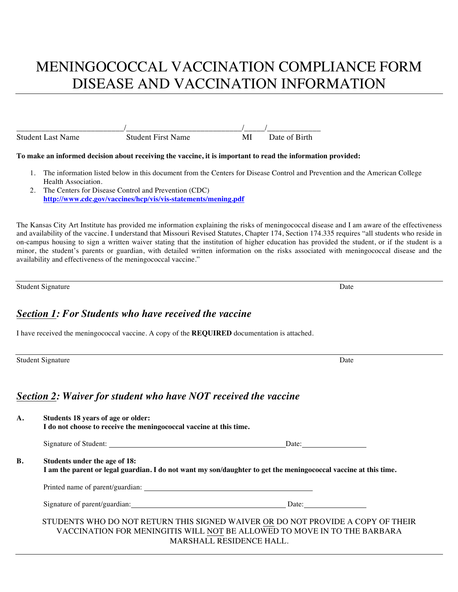# MENINGOCOCCAL VACCINATION COMPLIANCE FORM DISEASE AND VACCINATION INFORMATION

| <b>Student Last Name</b> | Student First N | M | Date of Birth |
|--------------------------|-----------------|---|---------------|

#### **To make an informed decision about receiving the vaccine, it is important to read the information provided:**

- 1. The information listed below in this document from the Centers for Disease Control and Prevention and the American College Health Association.
- 2. The Centers for Disease Control and Prevention (CDC) **http://www.cdc.gov/vaccines/hcp/vis/vis-statements/mening.pdf**

The Kansas City Art Institute has provided me information explaining the risks of meningococcal disease and I am aware of the effectiveness and availability of the vaccine. I understand that Missouri Revised Statutes, Chapter 174, Section 174.335 requires "all students who reside in on-campus housing to sign a written waiver stating that the institution of higher education has provided the student, or if the student is a minor, the student's parents or guardian, with detailed written information on the risks associated with meningococcal disease and the availability and effectiveness of the meningococcal vaccine."

Student Signature Date Date of the Student Signature Date Date Date Date Date Date

#### *Section 1: For Students who have received the vaccine*

I have received the meningococcal vaccine. A copy of the **REQUIRED** documentation is attached.

Student Signature Date

### *Section 2: Waiver for student who have NOT received the vaccine*

| А.        | Students 18 years of age or older:<br>I do not choose to receive the meningococcal vaccine at this time. |                                                                                                                                                                                                |  |
|-----------|----------------------------------------------------------------------------------------------------------|------------------------------------------------------------------------------------------------------------------------------------------------------------------------------------------------|--|
|           |                                                                                                          | Date: $\qquad \qquad$                                                                                                                                                                          |  |
| <b>B.</b> | Students under the age of 18:                                                                            | I am the parent or legal guardian. I do not want my son/daughter to get the meningococcal vaccine at this time.                                                                                |  |
|           | Printed name of parent/guardian:                                                                         |                                                                                                                                                                                                |  |
|           |                                                                                                          | Date:                                                                                                                                                                                          |  |
|           |                                                                                                          | STUDENTS WHO DO NOT RETURN THIS SIGNED WAIVER OR DO NOT PROVIDE A COPY OF THEIR<br>VACCINATION FOR MENINGITIS WILL NOT BE ALLOWED TO MOVE IN TO THE BARBARA<br><b>MARSHALL RESIDENCE HALL.</b> |  |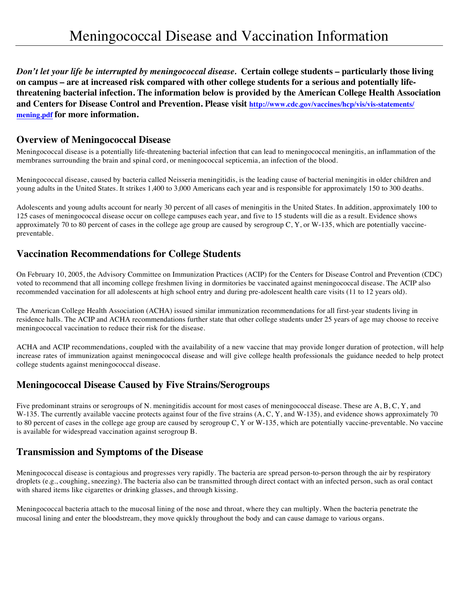*Don't let your life be interrupted by meningococcal disease.* **Certain college students – particularly those living on campus – are at increased risk compared with other college students for a serious and potentially lifethreatening bacterial infection. The information below is provided by the American College Health Association and Centers for Disease Control and Prevention. Please visit http://www.cdc.gov/vaccines/hcp/vis/vis-statements/ mening.pdf for more information.** 

#### **Overview of Meningococcal Disease**

Meningococcal disease is a potentially life-threatening bacterial infection that can lead to meningococcal meningitis, an inflammation of the membranes surrounding the brain and spinal cord, or meningococcal septicemia, an infection of the blood.

Meningococcal disease, caused by bacteria called Neisseria meningitidis, is the leading cause of bacterial meningitis in older children and young adults in the United States. It strikes 1,400 to 3,000 Americans each year and is responsible for approximately 150 to 300 deaths.

Adolescents and young adults account for nearly 30 percent of all cases of meningitis in the United States. In addition, approximately 100 to 125 cases of meningococcal disease occur on college campuses each year, and five to 15 students will die as a result. Evidence shows approximately 70 to 80 percent of cases in the college age group are caused by serogroup  $C, Y,$  or W-135, which are potentially vaccinepreventable.

#### **Vaccination Recommendations for College Students**

On February 10, 2005, the Advisory Committee on Immunization Practices (ACIP) for the Centers for Disease Control and Prevention (CDC) voted to recommend that all incoming college freshmen living in dormitories be vaccinated against meningococcal disease. The ACIP also recommended vaccination for all adolescents at high school entry and during pre-adolescent health care visits (11 to 12 years old).

The American College Health Association (ACHA) issued similar immunization recommendations for all first-year students living in residence halls. The ACIP and ACHA recommendations further state that other college students under 25 years of age may choose to receive meningococcal vaccination to reduce their risk for the disease.

ACHA and ACIP recommendations, coupled with the availability of a new vaccine that may provide longer duration of protection, will help increase rates of immunization against meningococcal disease and will give college health professionals the guidance needed to help protect college students against meningococcal disease.

### **Meningococcal Disease Caused by Five Strains/Serogroups**

Five predominant strains or serogroups of N. meningitidis account for most cases of meningococcal disease. These are A, B, C, Y, and W-135. The currently available vaccine protects against four of the five strains  $(A, C, Y, and W-135)$ , and evidence shows approximately 70 to 80 percent of cases in the college age group are caused by serogroup C, Y or W-135, which are potentially vaccine-preventable. No vaccine is available for widespread vaccination against serogroup B.

### **Transmission and Symptoms of the Disease**

Meningococcal disease is contagious and progresses very rapidly. The bacteria are spread person-to-person through the air by respiratory droplets (e.g., coughing, sneezing). The bacteria also can be transmitted through direct contact with an infected person, such as oral contact with shared items like cigarettes or drinking glasses, and through kissing.

Meningococcal bacteria attach to the mucosal lining of the nose and throat, where they can multiply. When the bacteria penetrate the mucosal lining and enter the bloodstream, they move quickly throughout the body and can cause damage to various organs.